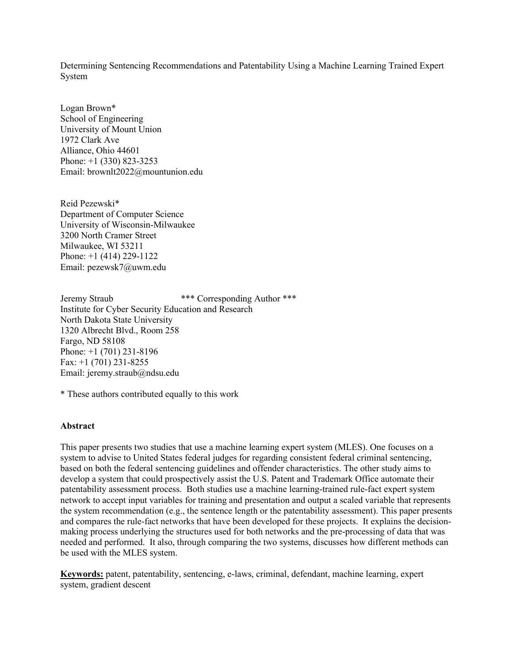Determining Sentencing Recommendations and Patentability Using a Machine Learning Trained Expert System

Logan Brown\* School of Engineering University of Mount Union 1972 Clark Ave Alliance, Ohio 44601 Phone: +1 (330) 823-3253 Email: brownlt2022@mountunion.edu

Reid Pezewski\* Department of Computer Science University of Wisconsin-Milwaukee 3200 North Cramer Street Milwaukee, WI 53211 Phone: +1 (414) 229-1122 Email: pezewsk7@uwm.edu

Jeremy Straub \*\*\* Corresponding Author \*\*\* Institute for Cyber Security Education and Research North Dakota State University 1320 Albrecht Blvd., Room 258 Fargo, ND 58108 Phone: +1 (701) 231-8196 Fax: +1 (701) 231-8255 Email: jeremy.straub@ndsu.edu

\* These authors contributed equally to this work

#### **Abstract**

This paper presents two studies that use a machine learning expert system (MLES). One focuses on a system to advise to United States federal judges for regarding consistent federal criminal sentencing, based on both the federal sentencing guidelines and offender characteristics. The other study aims to develop a system that could prospectively assist the U.S. Patent and Trademark Office automate their patentability assessment process. Both studies use a machine learning-trained rule-fact expert system network to accept input variables for training and presentation and output a scaled variable that represents the system recommendation (e.g., the sentence length or the patentability assessment). This paper presents and compares the rule-fact networks that have been developed for these projects. It explains the decisionmaking process underlying the structures used for both networks and the pre-processing of data that was needed and performed. It also, through comparing the two systems, discusses how different methods can be used with the MLES system.

**Keywords:** patent, patentability, sentencing, e-laws, criminal, defendant, machine learning, expert system, gradient descent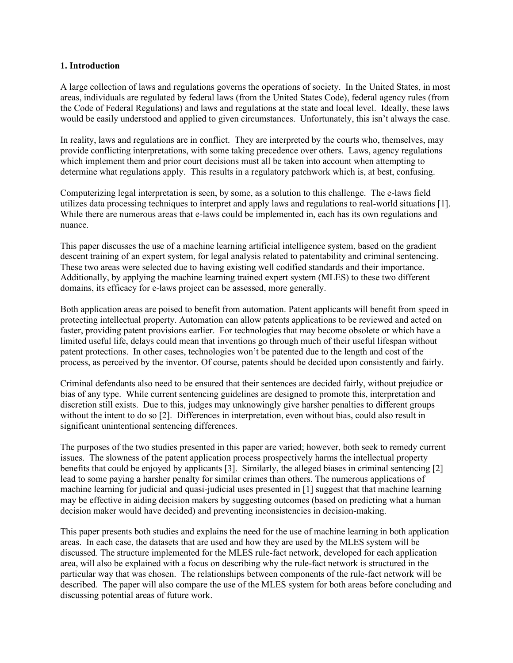#### **1. Introduction**

A large collection of laws and regulations governs the operations of society. In the United States, in most areas, individuals are regulated by federal laws (from the United States Code), federal agency rules (from the Code of Federal Regulations) and laws and regulations at the state and local level. Ideally, these laws would be easily understood and applied to given circumstances. Unfortunately, this isn't always the case.

In reality, laws and regulations are in conflict. They are interpreted by the courts who, themselves, may provide conflicting interpretations, with some taking precedence over others. Laws, agency regulations which implement them and prior court decisions must all be taken into account when attempting to determine what regulations apply. This results in a regulatory patchwork which is, at best, confusing.

Computerizing legal interpretation is seen, by some, as a solution to this challenge. The e-laws field utilizes data processing techniques to interpret and apply laws and regulations to real-world situations [1]. While there are numerous areas that e-laws could be implemented in, each has its own regulations and nuance.

This paper discusses the use of a machine learning artificial intelligence system, based on the gradient descent training of an expert system, for legal analysis related to patentability and criminal sentencing. These two areas were selected due to having existing well codified standards and their importance. Additionally, by applying the machine learning trained expert system (MLES) to these two different domains, its efficacy for e-laws project can be assessed, more generally.

Both application areas are poised to benefit from automation. Patent applicants will benefit from speed in protecting intellectual property. Automation can allow patents applications to be reviewed and acted on faster, providing patent provisions earlier. For technologies that may become obsolete or which have a limited useful life, delays could mean that inventions go through much of their useful lifespan without patent protections. In other cases, technologies won't be patented due to the length and cost of the process, as perceived by the inventor. Of course, patents should be decided upon consistently and fairly.

Criminal defendants also need to be ensured that their sentences are decided fairly, without prejudice or bias of any type. While current sentencing guidelines are designed to promote this, interpretation and discretion still exists. Due to this, judges may unknowingly give harsher penalties to different groups without the intent to do so [2]. Differences in interpretation, even without bias, could also result in significant unintentional sentencing differences.

The purposes of the two studies presented in this paper are varied; however, both seek to remedy current issues. The slowness of the patent application process prospectively harms the intellectual property benefits that could be enjoyed by applicants [3]. Similarly, the alleged biases in criminal sentencing [2] lead to some paying a harsher penalty for similar crimes than others. The numerous applications of machine learning for judicial and quasi-judicial uses presented in [1] suggest that that machine learning may be effective in aiding decision makers by suggesting outcomes (based on predicting what a human decision maker would have decided) and preventing inconsistencies in decision-making.

This paper presents both studies and explains the need for the use of machine learning in both application areas. In each case, the datasets that are used and how they are used by the MLES system will be discussed. The structure implemented for the MLES rule-fact network, developed for each application area, will also be explained with a focus on describing why the rule-fact network is structured in the particular way that was chosen. The relationships between components of the rule-fact network will be described. The paper will also compare the use of the MLES system for both areas before concluding and discussing potential areas of future work.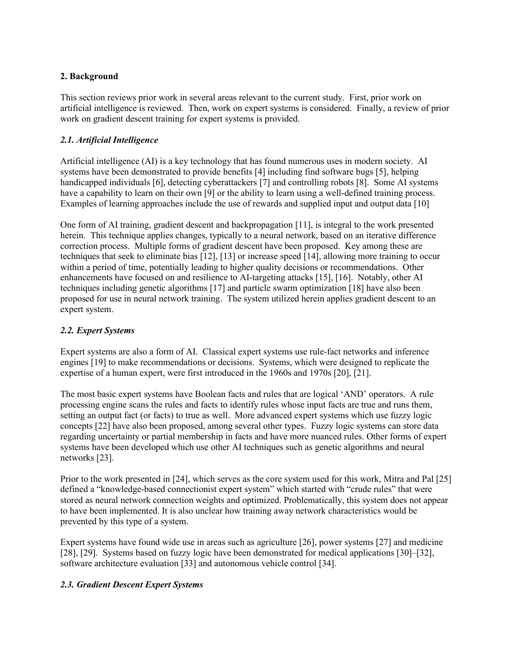# **2. Background**

This section reviews prior work in several areas relevant to the current study. First, prior work on artificial intelligence is reviewed. Then, work on expert systems is considered. Finally, a review of prior work on gradient descent training for expert systems is provided.

# *2.1. Artificial Intelligence*

Artificial intelligence (AI) is a key technology that has found numerous uses in modern society. AI systems have been demonstrated to provide benefits [4] including find software bugs [5], helping handicapped individuals [6], detecting cyberattackers [7] and controlling robots [8]. Some AI systems have a capability to learn on their own [9] or the ability to learn using a well-defined training process. Examples of learning approaches include the use of rewards and supplied input and output data [10]

One form of AI training, gradient descent and backpropagation [11], is integral to the work presented herein. This technique applies changes, typically to a neural network, based on an iterative difference correction process. Multiple forms of gradient descent have been proposed. Key among these are techniques that seek to eliminate bias [12], [13] or increase speed [14], allowing more training to occur within a period of time, potentially leading to higher quality decisions or recommendations. Other enhancements have focused on and resilience to AI-targeting attacks [15], [16]. Notably, other AI techniques including genetic algorithms [17] and particle swarm optimization [18] have also been proposed for use in neural network training. The system utilized herein applies gradient descent to an expert system.

# *2.2. Expert Systems*

Expert systems are also a form of AI. Classical expert systems use rule-fact networks and inference engines [19] to make recommendations or decisions. Systems, which were designed to replicate the expertise of a human expert, were first introduced in the 1960s and 1970s [20], [21].

The most basic expert systems have Boolean facts and rules that are logical 'AND' operators. A rule processing engine scans the rules and facts to identify rules whose input facts are true and runs them, setting an output fact (or facts) to true as well. More advanced expert systems which use fuzzy logic concepts [22] have also been proposed, among several other types. Fuzzy logic systems can store data regarding uncertainty or partial membership in facts and have more nuanced rules. Other forms of expert systems have been developed which use other AI techniques such as genetic algorithms and neural networks [23].

Prior to the work presented in [24], which serves as the core system used for this work, Mitra and Pal [25] defined a "knowledge-based connectionist expert system" which started with "crude rules" that were stored as neural network connection weights and optimized. Problematically, this system does not appear to have been implemented. It is also unclear how training away network characteristics would be prevented by this type of a system.

Expert systems have found wide use in areas such as agriculture [26], power systems [27] and medicine [28], [29]. Systems based on fuzzy logic have been demonstrated for medical applications [30]-[32], software architecture evaluation [33] and autonomous vehicle control [34].

# *2.3. Gradient Descent Expert Systems*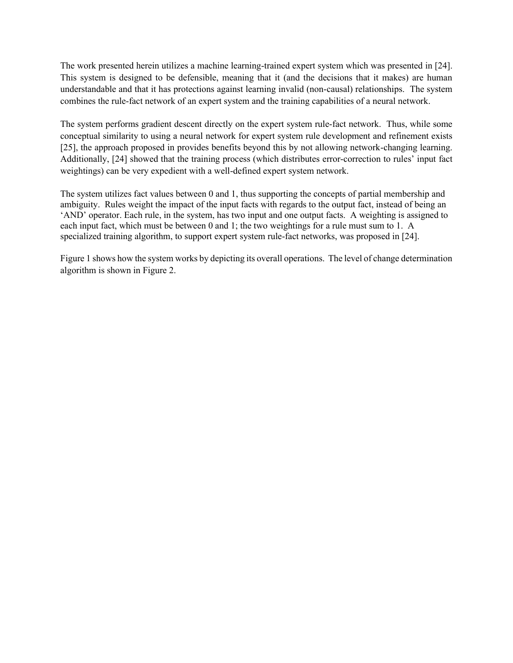The work presented herein utilizes a machine learning-trained expert system which was presented in [24]. This system is designed to be defensible, meaning that it (and the decisions that it makes) are human understandable and that it has protections against learning invalid (non-causal) relationships. The system combines the rule-fact network of an expert system and the training capabilities of a neural network.

The system performs gradient descent directly on the expert system rule-fact network. Thus, while some conceptual similarity to using a neural network for expert system rule development and refinement exists [25], the approach proposed in provides benefits beyond this by not allowing network-changing learning. Additionally, [24] showed that the training process (which distributes error-correction to rules' input fact weightings) can be very expedient with a well-defined expert system network.

The system utilizes fact values between 0 and 1, thus supporting the concepts of partial membership and ambiguity. Rules weight the impact of the input facts with regards to the output fact, instead of being an 'AND' operator. Each rule, in the system, has two input and one output facts. A weighting is assigned to each input fact, which must be between 0 and 1; the two weightings for a rule must sum to 1. A specialized training algorithm, to support expert system rule-fact networks, was proposed in [24].

Figure 1 shows how the system works by depicting its overall operations. The level of change determination algorithm is shown in Figure 2.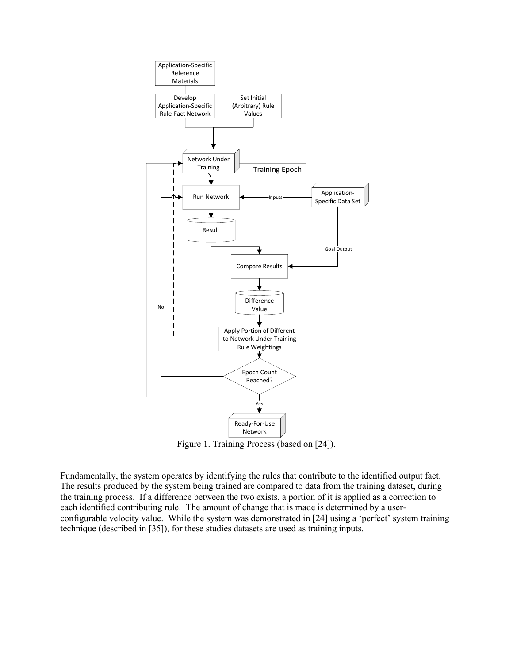

Figure 1. Training Process (based on [24]).

Fundamentally, the system operates by identifying the rules that contribute to the identified output fact. The results produced by the system being trained are compared to data from the training dataset, during the training process. If a difference between the two exists, a portion of it is applied as a correction to each identified contributing rule. The amount of change that is made is determined by a userconfigurable velocity value. While the system was demonstrated in [24] using a 'perfect' system training technique (described in [35]), for these studies datasets are used as training inputs.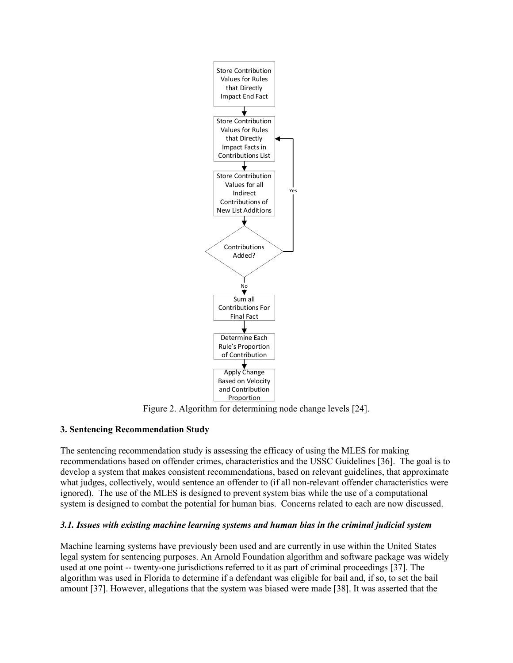

Figure 2. Algorithm for determining node change levels [24].

# **3. Sentencing Recommendation Study**

The sentencing recommendation study is assessing the efficacy of using the MLES for making recommendations based on offender crimes, characteristics and the USSC Guidelines [36]. The goal is to develop a system that makes consistent recommendations, based on relevant guidelines, that approximate what judges, collectively, would sentence an offender to (if all non-relevant offender characteristics were ignored). The use of the MLES is designed to prevent system bias while the use of a computational system is designed to combat the potential for human bias. Concerns related to each are now discussed.

### *3.1. Issues with existing machine learning systems and human bias in the criminal judicial system*

Machine learning systems have previously been used and are currently in use within the United States legal system for sentencing purposes. An Arnold Foundation algorithm and software package was widely used at one point -- twenty-one jurisdictions referred to it as part of criminal proceedings [37]. The algorithm was used in Florida to determine if a defendant was eligible for bail and, if so, to set the bail amount [37]. However, allegations that the system was biased were made [38]. It was asserted that the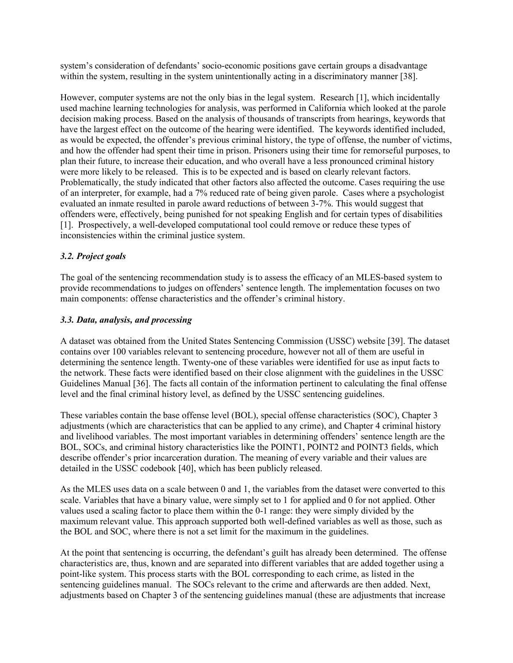system's consideration of defendants' socio-economic positions gave certain groups a disadvantage within the system, resulting in the system unintentionally acting in a discriminatory manner [38].

However, computer systems are not the only bias in the legal system. Research [1], which incidentally used machine learning technologies for analysis, was performed in California which looked at the parole decision making process. Based on the analysis of thousands of transcripts from hearings, keywords that have the largest effect on the outcome of the hearing were identified. The keywords identified included, as would be expected, the offender's previous criminal history, the type of offense, the number of victims, and how the offender had spent their time in prison. Prisoners using their time for remorseful purposes, to plan their future, to increase their education, and who overall have a less pronounced criminal history were more likely to be released. This is to be expected and is based on clearly relevant factors. Problematically, the study indicated that other factors also affected the outcome. Cases requiring the use of an interpreter, for example, had a 7% reduced rate of being given parole. Cases where a psychologist evaluated an inmate resulted in parole award reductions of between 3-7%. This would suggest that offenders were, effectively, being punished for not speaking English and for certain types of disabilities [1]. Prospectively, a well-developed computational tool could remove or reduce these types of inconsistencies within the criminal justice system.

### *3.2. Project goals*

The goal of the sentencing recommendation study is to assess the efficacy of an MLES-based system to provide recommendations to judges on offenders' sentence length. The implementation focuses on two main components: offense characteristics and the offender's criminal history.

#### *3.3. Data, analysis, and processing*

A dataset was obtained from the United States Sentencing Commission (USSC) website [39]. The dataset contains over 100 variables relevant to sentencing procedure, however not all of them are useful in determining the sentence length. Twenty-one of these variables were identified for use as input facts to the network. These facts were identified based on their close alignment with the guidelines in the USSC Guidelines Manual [36]. The facts all contain of the information pertinent to calculating the final offense level and the final criminal history level, as defined by the USSC sentencing guidelines.

These variables contain the base offense level (BOL), special offense characteristics (SOC), Chapter 3 adjustments (which are characteristics that can be applied to any crime), and Chapter 4 criminal history and livelihood variables. The most important variables in determining offenders' sentence length are the BOL, SOCs, and criminal history characteristics like the POINT1, POINT2 and POINT3 fields, which describe offender's prior incarceration duration. The meaning of every variable and their values are detailed in the USSC codebook [40], which has been publicly released.

As the MLES uses data on a scale between 0 and 1, the variables from the dataset were converted to this scale. Variables that have a binary value, were simply set to 1 for applied and 0 for not applied. Other values used a scaling factor to place them within the 0-1 range: they were simply divided by the maximum relevant value. This approach supported both well-defined variables as well as those, such as the BOL and SOC, where there is not a set limit for the maximum in the guidelines.

At the point that sentencing is occurring, the defendant's guilt has already been determined. The offense characteristics are, thus, known and are separated into different variables that are added together using a point-like system. This process starts with the BOL corresponding to each crime, as listed in the sentencing guidelines manual. The SOCs relevant to the crime and afterwards are then added. Next, adjustments based on Chapter 3 of the sentencing guidelines manual (these are adjustments that increase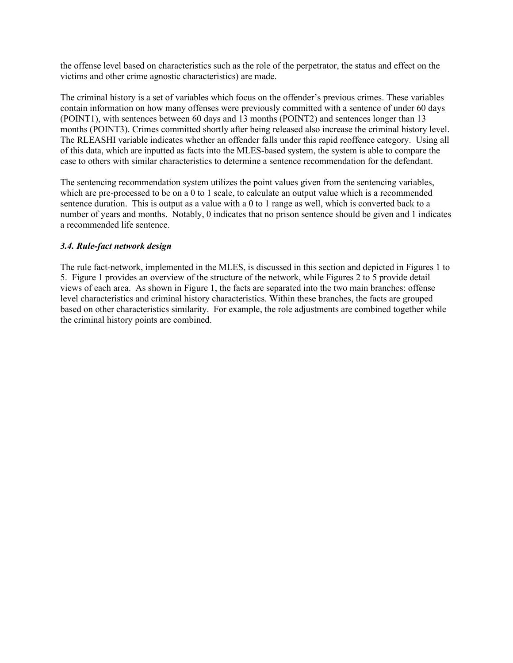the offense level based on characteristics such as the role of the perpetrator, the status and effect on the victims and other crime agnostic characteristics) are made.

The criminal history is a set of variables which focus on the offender's previous crimes. These variables contain information on how many offenses were previously committed with a sentence of under 60 days (POINT1), with sentences between 60 days and 13 months (POINT2) and sentences longer than 13 months (POINT3). Crimes committed shortly after being released also increase the criminal history level. The RLEASHI variable indicates whether an offender falls under this rapid reoffence category. Using all of this data, which are inputted as facts into the MLES-based system, the system is able to compare the case to others with similar characteristics to determine a sentence recommendation for the defendant.

The sentencing recommendation system utilizes the point values given from the sentencing variables, which are pre-processed to be on a 0 to 1 scale, to calculate an output value which is a recommended sentence duration. This is output as a value with a 0 to 1 range as well, which is converted back to a number of years and months. Notably, 0 indicates that no prison sentence should be given and 1 indicates a recommended life sentence.

#### *3.4. Rule-fact network design*

The rule fact-network, implemented in the MLES, is discussed in this section and depicted in Figures 1 to 5. Figure 1 provides an overview of the structure of the network, while Figures 2 to 5 provide detail views of each area. As shown in Figure 1, the facts are separated into the two main branches: offense level characteristics and criminal history characteristics. Within these branches, the facts are grouped based on other characteristics similarity. For example, the role adjustments are combined together while the criminal history points are combined.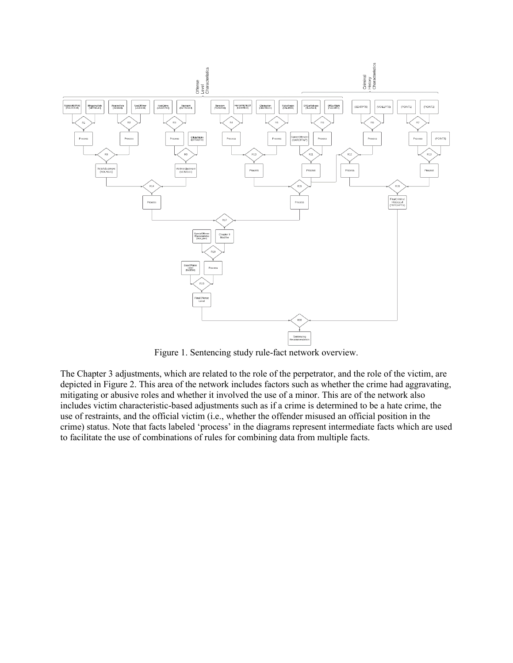

Figure 1. Sentencing study rule-fact network overview.

The Chapter 3 adjustments, which are related to the role of the perpetrator, and the role of the victim, are depicted in Figure 2. This area of the network includes factors such as whether the crime had aggravating, mitigating or abusive roles and whether it involved the use of a minor. This are of the network also includes victim characteristic-based adjustments such as if a crime is determined to be a hate crime, the use of restraints, and the official victim (i.e., whether the offender misused an official position in the crime) status. Note that facts labeled 'process' in the diagrams represent intermediate facts which are used to facilitate the use of combinations of rules for combining data from multiple facts.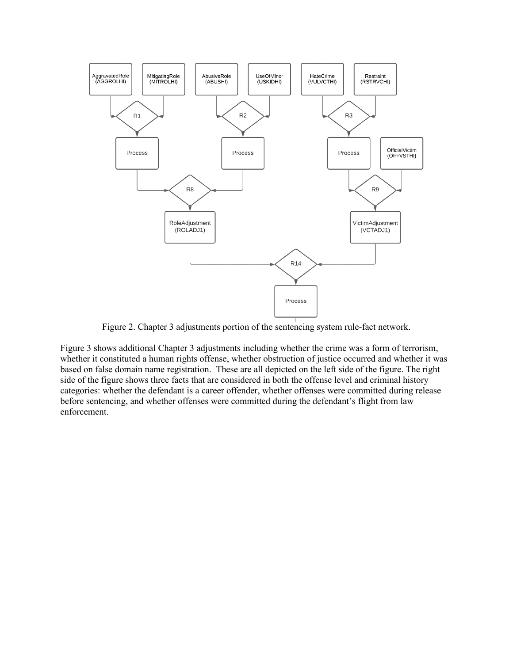

Figure 2. Chapter 3 adjustments portion of the sentencing system rule-fact network.

Figure 3 shows additional Chapter 3 adjustments including whether the crime was a form of terrorism, whether it constituted a human rights offense, whether obstruction of justice occurred and whether it was based on false domain name registration. These are all depicted on the left side of the figure. The right side of the figure shows three facts that are considered in both the offense level and criminal history categories: whether the defendant is a career offender, whether offenses were committed during release before sentencing, and whether offenses were committed during the defendant's flight from law enforcement.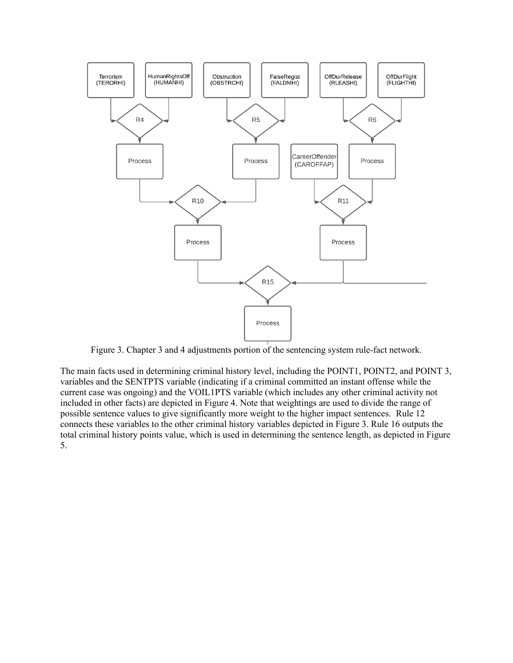

Figure 3. Chapter 3 and 4 adjustments portion of the sentencing system rule-fact network.

The main facts used in determining criminal history level, including the POINT1, POINT2, and POINT 3, variables and the SENTPTS variable (indicating if a criminal committed an instant offense while the current case was ongoing) and the VOIL1PTS variable (which includes any other criminal activity not included in other facts) are depicted in Figure 4. Note that weightings are used to divide the range of possible sentence values to give significantly more weight to the higher impact sentences. Rule 12 connects these variables to the other criminal history variables depicted in Figure 3. Rule 16 outputs the total criminal history points value, which is used in determining the sentence length, as depicted in Figure 5.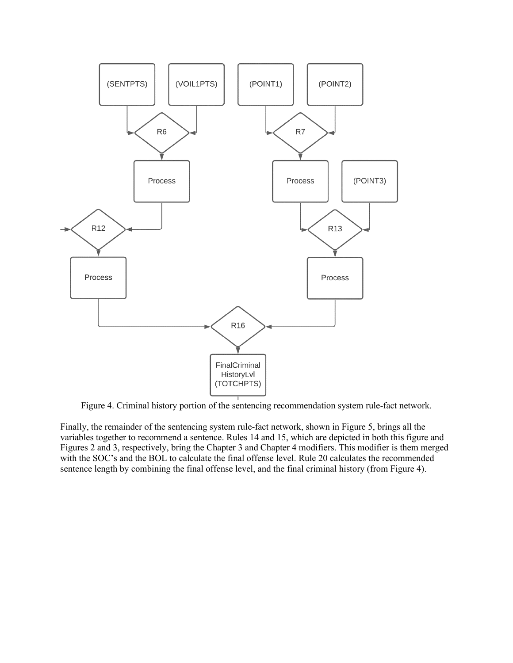

Figure 4. Criminal history portion of the sentencing recommendation system rule-fact network.

Finally, the remainder of the sentencing system rule-fact network, shown in Figure 5, brings all the variables together to recommend a sentence. Rules 14 and 15, which are depicted in both this figure and Figures 2 and 3, respectively, bring the Chapter 3 and Chapter 4 modifiers. This modifier is them merged with the SOC's and the BOL to calculate the final offense level. Rule 20 calculates the recommended sentence length by combining the final offense level, and the final criminal history (from Figure 4).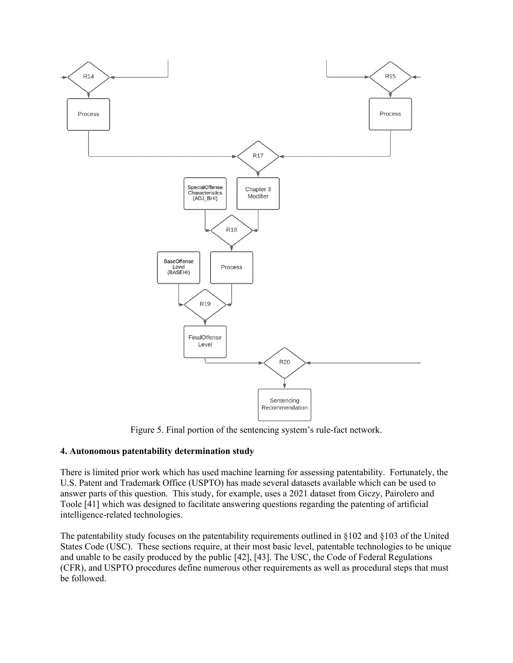

Figure 5. Final portion of the sentencing system's rule-fact network.

# **4. Autonomous patentability determination study**

There is limited prior work which has used machine learning for assessing patentability. Fortunately, the U.S. Patent and Trademark Office (USPTO) has made several datasets available which can be used to answer parts of this question. This study, for example, uses a 2021 dataset from Giczy, Pairolero and Toole [41] which was designed to facilitate answering questions regarding the patenting of artificial intelligence-related technologies.

The patentability study focuses on the patentability requirements outlined in §102 and §103 of the United States Code (USC). These sections require, at their most basic level, patentable technologies to be unique and unable to be easily produced by the public [42], [43]. The USC, the Code of Federal Regulations (CFR), and USPTO procedures define numerous other requirements as well as procedural steps that must be followed.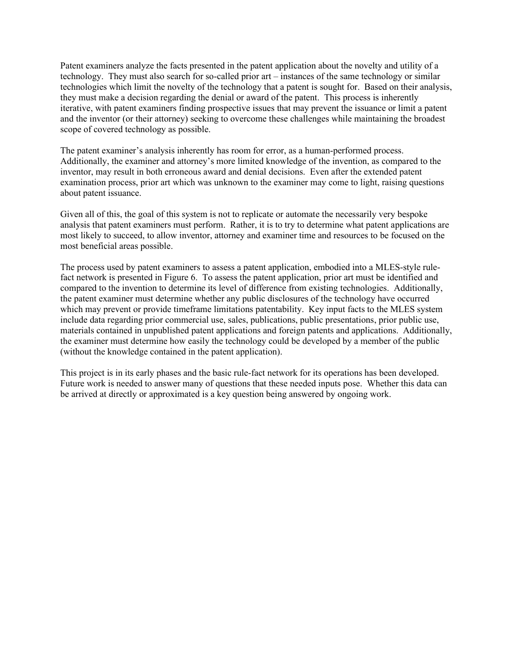Patent examiners analyze the facts presented in the patent application about the novelty and utility of a technology. They must also search for so-called prior art – instances of the same technology or similar technologies which limit the novelty of the technology that a patent is sought for. Based on their analysis, they must make a decision regarding the denial or award of the patent. This process is inherently iterative, with patent examiners finding prospective issues that may prevent the issuance or limit a patent and the inventor (or their attorney) seeking to overcome these challenges while maintaining the broadest scope of covered technology as possible.

The patent examiner's analysis inherently has room for error, as a human-performed process. Additionally, the examiner and attorney's more limited knowledge of the invention, as compared to the inventor, may result in both erroneous award and denial decisions. Even after the extended patent examination process, prior art which was unknown to the examiner may come to light, raising questions about patent issuance.

Given all of this, the goal of this system is not to replicate or automate the necessarily very bespoke analysis that patent examiners must perform. Rather, it is to try to determine what patent applications are most likely to succeed, to allow inventor, attorney and examiner time and resources to be focused on the most beneficial areas possible.

The process used by patent examiners to assess a patent application, embodied into a MLES-style rulefact network is presented in Figure 6. To assess the patent application, prior art must be identified and compared to the invention to determine its level of difference from existing technologies. Additionally, the patent examiner must determine whether any public disclosures of the technology have occurred which may prevent or provide timeframe limitations patentability. Key input facts to the MLES system include data regarding prior commercial use, sales, publications, public presentations, prior public use, materials contained in unpublished patent applications and foreign patents and applications. Additionally, the examiner must determine how easily the technology could be developed by a member of the public (without the knowledge contained in the patent application).

This project is in its early phases and the basic rule-fact network for its operations has been developed. Future work is needed to answer many of questions that these needed inputs pose. Whether this data can be arrived at directly or approximated is a key question being answered by ongoing work.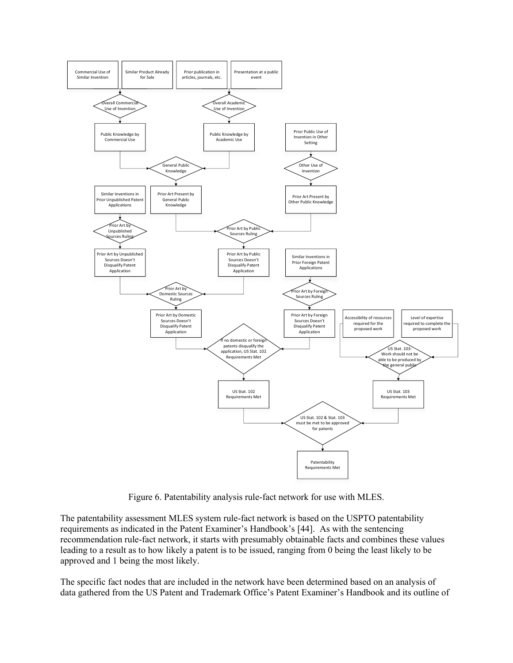

Figure 6. Patentability analysis rule-fact network for use with MLES.

The patentability assessment MLES system rule-fact network is based on the USPTO patentability requirements as indicated in the Patent Examiner's Handbook's [44]. As with the sentencing recommendation rule-fact network, it starts with presumably obtainable facts and combines these values leading to a result as to how likely a patent is to be issued, ranging from 0 being the least likely to be approved and 1 being the most likely.

The specific fact nodes that are included in the network have been determined based on an analysis of data gathered from the US Patent and Trademark Office's Patent Examiner's Handbook and its outline of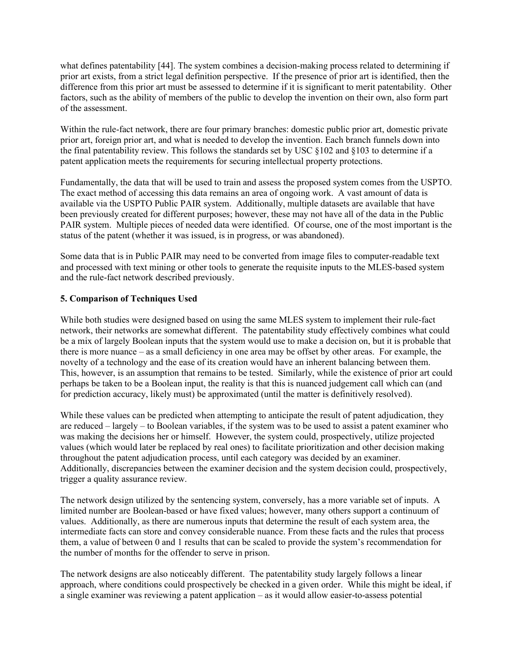what defines patentability [44]. The system combines a decision-making process related to determining if prior art exists, from a strict legal definition perspective. If the presence of prior art is identified, then the difference from this prior art must be assessed to determine if it is significant to merit patentability. Other factors, such as the ability of members of the public to develop the invention on their own, also form part of the assessment.

Within the rule-fact network, there are four primary branches: domestic public prior art, domestic private prior art, foreign prior art, and what is needed to develop the invention. Each branch funnels down into the final patentability review. This follows the standards set by USC §102 and §103 to determine if a patent application meets the requirements for securing intellectual property protections.

Fundamentally, the data that will be used to train and assess the proposed system comes from the USPTO. The exact method of accessing this data remains an area of ongoing work. A vast amount of data is available via the USPTO Public PAIR system. Additionally, multiple datasets are available that have been previously created for different purposes; however, these may not have all of the data in the Public PAIR system. Multiple pieces of needed data were identified. Of course, one of the most important is the status of the patent (whether it was issued, is in progress, or was abandoned).

Some data that is in Public PAIR may need to be converted from image files to computer-readable text and processed with text mining or other tools to generate the requisite inputs to the MLES-based system and the rule-fact network described previously.

### **5. Comparison of Techniques Used**

While both studies were designed based on using the same MLES system to implement their rule-fact network, their networks are somewhat different. The patentability study effectively combines what could be a mix of largely Boolean inputs that the system would use to make a decision on, but it is probable that there is more nuance – as a small deficiency in one area may be offset by other areas. For example, the novelty of a technology and the ease of its creation would have an inherent balancing between them. This, however, is an assumption that remains to be tested. Similarly, while the existence of prior art could perhaps be taken to be a Boolean input, the reality is that this is nuanced judgement call which can (and for prediction accuracy, likely must) be approximated (until the matter is definitively resolved).

While these values can be predicted when attempting to anticipate the result of patent adjudication, they are reduced – largely – to Boolean variables, if the system was to be used to assist a patent examiner who was making the decisions her or himself. However, the system could, prospectively, utilize projected values (which would later be replaced by real ones) to facilitate prioritization and other decision making throughout the patent adjudication process, until each category was decided by an examiner. Additionally, discrepancies between the examiner decision and the system decision could, prospectively, trigger a quality assurance review.

The network design utilized by the sentencing system, conversely, has a more variable set of inputs. A limited number are Boolean-based or have fixed values; however, many others support a continuum of values. Additionally, as there are numerous inputs that determine the result of each system area, the intermediate facts can store and convey considerable nuance. From these facts and the rules that process them, a value of between 0 and 1 results that can be scaled to provide the system's recommendation for the number of months for the offender to serve in prison.

The network designs are also noticeably different. The patentability study largely follows a linear approach, where conditions could prospectively be checked in a given order. While this might be ideal, if a single examiner was reviewing a patent application – as it would allow easier-to-assess potential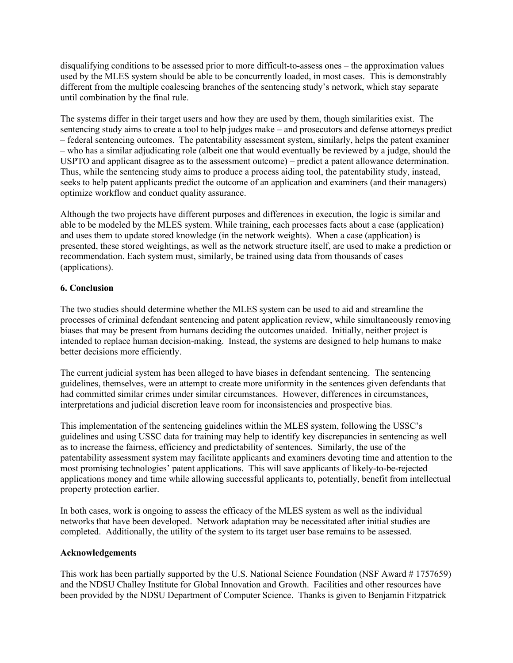disqualifying conditions to be assessed prior to more difficult-to-assess ones – the approximation values used by the MLES system should be able to be concurrently loaded, in most cases. This is demonstrably different from the multiple coalescing branches of the sentencing study's network, which stay separate until combination by the final rule.

The systems differ in their target users and how they are used by them, though similarities exist. The sentencing study aims to create a tool to help judges make – and prosecutors and defense attorneys predict – federal sentencing outcomes. The patentability assessment system, similarly, helps the patent examiner – who has a similar adjudicating role (albeit one that would eventually be reviewed by a judge, should the USPTO and applicant disagree as to the assessment outcome) – predict a patent allowance determination. Thus, while the sentencing study aims to produce a process aiding tool, the patentability study, instead, seeks to help patent applicants predict the outcome of an application and examiners (and their managers) optimize workflow and conduct quality assurance.

Although the two projects have different purposes and differences in execution, the logic is similar and able to be modeled by the MLES system. While training, each processes facts about a case (application) and uses them to update stored knowledge (in the network weights). When a case (application) is presented, these stored weightings, as well as the network structure itself, are used to make a prediction or recommendation. Each system must, similarly, be trained using data from thousands of cases (applications).

### **6. Conclusion**

The two studies should determine whether the MLES system can be used to aid and streamline the processes of criminal defendant sentencing and patent application review, while simultaneously removing biases that may be present from humans deciding the outcomes unaided. Initially, neither project is intended to replace human decision-making. Instead, the systems are designed to help humans to make better decisions more efficiently.

The current judicial system has been alleged to have biases in defendant sentencing. The sentencing guidelines, themselves, were an attempt to create more uniformity in the sentences given defendants that had committed similar crimes under similar circumstances. However, differences in circumstances, interpretations and judicial discretion leave room for inconsistencies and prospective bias.

This implementation of the sentencing guidelines within the MLES system, following the USSC's guidelines and using USSC data for training may help to identify key discrepancies in sentencing as well as to increase the fairness, efficiency and predictability of sentences. Similarly, the use of the patentability assessment system may facilitate applicants and examiners devoting time and attention to the most promising technologies' patent applications. This will save applicants of likely-to-be-rejected applications money and time while allowing successful applicants to, potentially, benefit from intellectual property protection earlier.

In both cases, work is ongoing to assess the efficacy of the MLES system as well as the individual networks that have been developed. Network adaptation may be necessitated after initial studies are completed. Additionally, the utility of the system to its target user base remains to be assessed.

#### **Acknowledgements**

This work has been partially supported by the U.S. National Science Foundation (NSF Award # 1757659) and the NDSU Challey Institute for Global Innovation and Growth. Facilities and other resources have been provided by the NDSU Department of Computer Science. Thanks is given to Benjamin Fitzpatrick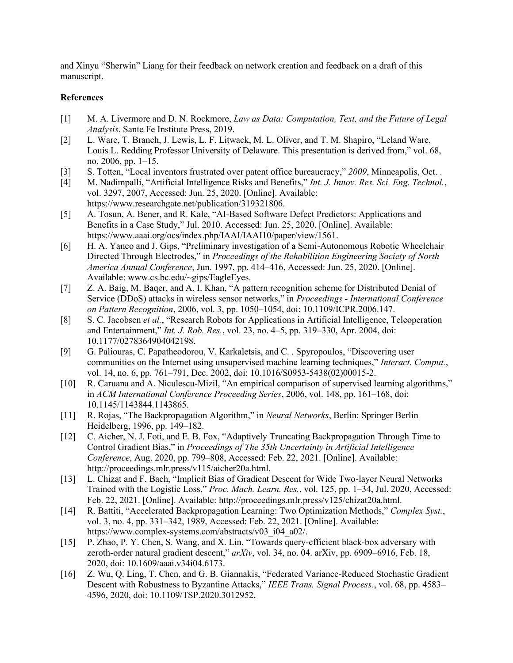and Xinyu "Sherwin" Liang for their feedback on network creation and feedback on a draft of this manuscript.

### **References**

- [1] M. A. Livermore and D. N. Rockmore, *Law as Data: Computation, Text, and the Future of Legal Analysis*. Sante Fe Institute Press, 2019.
- [2] L. Ware, T. Branch, J. Lewis, L. F. Litwack, M. L. Oliver, and T. M. Shapiro, "Leland Ware, Louis L. Redding Professor University of Delaware. This presentation is derived from," vol. 68, no. 2006, pp. 1–15.
- [3] S. Totten, "Local inventors frustrated over patent office bureaucracy," *2009*, Minneapolis, Oct. .
- [4] M. Nadimpalli, "Artificial Intelligence Risks and Benefits," *Int. J. Innov. Res. Sci. Eng. Technol.*, vol. 3297, 2007, Accessed: Jun. 25, 2020. [Online]. Available: https://www.researchgate.net/publication/319321806.
- [5] A. Tosun, A. Bener, and R. Kale, "AI-Based Software Defect Predictors: Applications and Benefits in a Case Study," Jul. 2010. Accessed: Jun. 25, 2020. [Online]. Available: https://www.aaai.org/ocs/index.php/IAAI/IAAI10/paper/view/1561.
- [6] H. A. Yanco and J. Gips, "Preliminary investigation of a Semi-Autonomous Robotic Wheelchair Directed Through Electrodes," in *Proceedings of the Rehabilition Engineering Society of North America Annual Conference*, Jun. 1997, pp. 414–416, Accessed: Jun. 25, 2020. [Online]. Available: www.cs.bc.edu/~gips/EagleEyes.
- [7] Z. A. Baig, M. Baqer, and A. I. Khan, "A pattern recognition scheme for Distributed Denial of Service (DDoS) attacks in wireless sensor networks," in *Proceedings - International Conference on Pattern Recognition*, 2006, vol. 3, pp. 1050–1054, doi: 10.1109/ICPR.2006.147.
- [8] S. C. Jacobsen *et al.*, "Research Robots for Applications in Artificial Intelligence, Teleoperation and Entertainment," *Int. J. Rob. Res.*, vol. 23, no. 4–5, pp. 319–330, Apr. 2004, doi: 10.1177/0278364904042198.
- [9] G. Paliouras, C. Papatheodorou, V. Karkaletsis, and C. . Spyropoulos, "Discovering user communities on the Internet using unsupervised machine learning techniques," *Interact. Comput.*, vol. 14, no. 6, pp. 761–791, Dec. 2002, doi: 10.1016/S0953-5438(02)00015-2.
- [10] R. Caruana and A. Niculescu-Mizil, "An empirical comparison of supervised learning algorithms," in *ACM International Conference Proceeding Series*, 2006, vol. 148, pp. 161–168, doi: 10.1145/1143844.1143865.
- [11] R. Rojas, "The Backpropagation Algorithm," in *Neural Networks*, Berlin: Springer Berlin Heidelberg, 1996, pp. 149–182.
- [12] C. Aicher, N. J. Foti, and E. B. Fox, "Adaptively Truncating Backpropagation Through Time to Control Gradient Bias," in *Proceedings of The 35th Uncertainty in Artificial Intelligence Conference*, Aug. 2020, pp. 799–808, Accessed: Feb. 22, 2021. [Online]. Available: http://proceedings.mlr.press/v115/aicher20a.html.
- [13] L. Chizat and F. Bach, "Implicit Bias of Gradient Descent for Wide Two-layer Neural Networks Trained with the Logistic Loss," *Proc. Mach. Learn. Res.*, vol. 125, pp. 1–34, Jul. 2020, Accessed: Feb. 22, 2021. [Online]. Available: http://proceedings.mlr.press/v125/chizat20a.html.
- [14] R. Battiti, "Accelerated Backpropagation Learning: Two Optimization Methods," *Complex Syst.*, vol. 3, no. 4, pp. 331–342, 1989, Accessed: Feb. 22, 2021. [Online]. Available: https://www.complex-systems.com/abstracts/v03\_i04\_a02/.
- [15] P. Zhao, P. Y. Chen, S. Wang, and X. Lin, "Towards query-efficient black-box adversary with zeroth-order natural gradient descent," *arXiv*, vol. 34, no. 04. arXiv, pp. 6909–6916, Feb. 18, 2020, doi: 10.1609/aaai.v34i04.6173.
- [16] Z. Wu, Q. Ling, T. Chen, and G. B. Giannakis, "Federated Variance-Reduced Stochastic Gradient Descent with Robustness to Byzantine Attacks," *IEEE Trans. Signal Process.*, vol. 68, pp. 4583– 4596, 2020, doi: 10.1109/TSP.2020.3012952.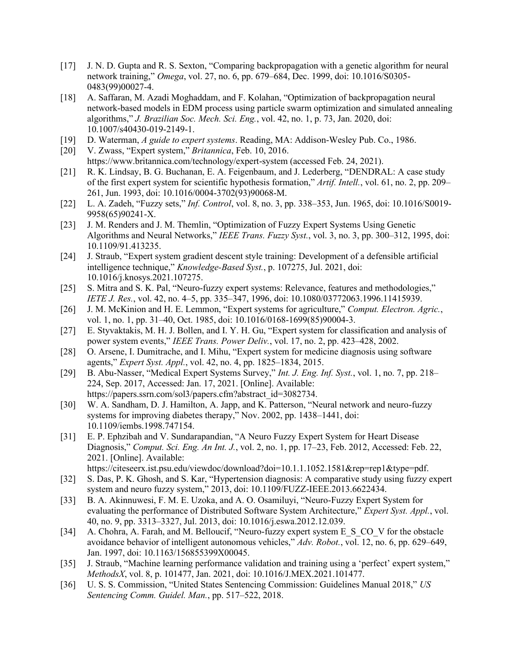- [17] J. N. D. Gupta and R. S. Sexton, "Comparing backpropagation with a genetic algorithm for neural network training," *Omega*, vol. 27, no. 6, pp. 679–684, Dec. 1999, doi: 10.1016/S0305- 0483(99)00027-4.
- [18] A. Saffaran, M. Azadi Moghaddam, and F. Kolahan, "Optimization of backpropagation neural network-based models in EDM process using particle swarm optimization and simulated annealing algorithms," *J. Brazilian Soc. Mech. Sci. Eng.*, vol. 42, no. 1, p. 73, Jan. 2020, doi: 10.1007/s40430-019-2149-1.
- [19] D. Waterman, *A guide to expert systems*. Reading, MA: Addison-Wesley Pub. Co., 1986.
- [20] V. Zwass, "Expert system," *Britannica*, Feb. 10, 2016. https://www.britannica.com/technology/expert-system (accessed Feb. 24, 2021).
- [21] R. K. Lindsay, B. G. Buchanan, E. A. Feigenbaum, and J. Lederberg, "DENDRAL: A case study of the first expert system for scientific hypothesis formation," *Artif. Intell.*, vol. 61, no. 2, pp. 209– 261, Jun. 1993, doi: 10.1016/0004-3702(93)90068-M.
- [22] L. A. Zadeh, "Fuzzy sets," *Inf. Control*, vol. 8, no. 3, pp. 338–353, Jun. 1965, doi: 10.1016/S0019- 9958(65)90241-X.
- [23] J. M. Renders and J. M. Themlin, "Optimization of Fuzzy Expert Systems Using Genetic Algorithms and Neural Networks," *IEEE Trans. Fuzzy Syst.*, vol. 3, no. 3, pp. 300–312, 1995, doi: 10.1109/91.413235.
- [24] J. Straub, "Expert system gradient descent style training: Development of a defensible artificial intelligence technique," *Knowledge-Based Syst.*, p. 107275, Jul. 2021, doi: 10.1016/j.knosys.2021.107275.
- [25] S. Mitra and S. K. Pal, "Neuro-fuzzy expert systems: Relevance, features and methodologies," *IETE J. Res.*, vol. 42, no. 4–5, pp. 335–347, 1996, doi: 10.1080/03772063.1996.11415939.
- [26] J. M. McKinion and H. E. Lemmon, "Expert systems for agriculture," *Comput. Electron. Agric.*, vol. 1, no. 1, pp. 31–40, Oct. 1985, doi: 10.1016/0168-1699(85)90004-3.
- [27] E. Styvaktakis, M. H. J. Bollen, and I. Y. H. Gu, "Expert system for classification and analysis of power system events," *IEEE Trans. Power Deliv.*, vol. 17, no. 2, pp. 423–428, 2002.
- [28] O. Arsene, I. Dumitrache, and I. Mihu, "Expert system for medicine diagnosis using software agents," *Expert Syst. Appl.*, vol. 42, no. 4, pp. 1825–1834, 2015.
- [29] B. Abu-Nasser, "Medical Expert Systems Survey," *Int. J. Eng. Inf. Syst.*, vol. 1, no. 7, pp. 218– 224, Sep. 2017, Accessed: Jan. 17, 2021. [Online]. Available: https://papers.ssrn.com/sol3/papers.cfm?abstract\_id=3082734.
- [30] W. A. Sandham, D. J. Hamilton, A. Japp, and K. Patterson, "Neural network and neuro-fuzzy systems for improving diabetes therapy," Nov. 2002, pp. 1438–1441, doi: 10.1109/iembs.1998.747154.
- [31] E. P. Ephzibah and V. Sundarapandian, "A Neuro Fuzzy Expert System for Heart Disease Diagnosis," *Comput. Sci. Eng. An Int. J.*, vol. 2, no. 1, pp. 17–23, Feb. 2012, Accessed: Feb. 22, 2021. [Online]. Available:

https://citeseerx.ist.psu.edu/viewdoc/download?doi=10.1.1.1052.1581&rep=rep1&type=pdf.

- [32] S. Das, P. K. Ghosh, and S. Kar, "Hypertension diagnosis: A comparative study using fuzzy expert system and neuro fuzzy system," 2013, doi: 10.1109/FUZZ-IEEE.2013.6622434.
- [33] B. A. Akinnuwesi, F. M. E. Uzoka, and A. O. Osamiluyi, "Neuro-Fuzzy Expert System for evaluating the performance of Distributed Software System Architecture," *Expert Syst. Appl.*, vol. 40, no. 9, pp. 3313–3327, Jul. 2013, doi: 10.1016/j.eswa.2012.12.039.
- [34] A. Chohra, A. Farah, and M. Belloucif, "Neuro-fuzzy expert system E\_S\_CO\_V for the obstacle avoidance behavior of intelligent autonomous vehicles," *Adv. Robot.*, vol. 12, no. 6, pp. 629–649, Jan. 1997, doi: 10.1163/156855399X00045.
- [35] J. Straub, "Machine learning performance validation and training using a 'perfect' expert system," *MethodsX*, vol. 8, p. 101477, Jan. 2021, doi: 10.1016/J.MEX.2021.101477.
- [36] U. S. S. Commission, "United States Sentencing Commission: Guidelines Manual 2018," *US Sentencing Comm. Guidel. Man.*, pp. 517–522, 2018.